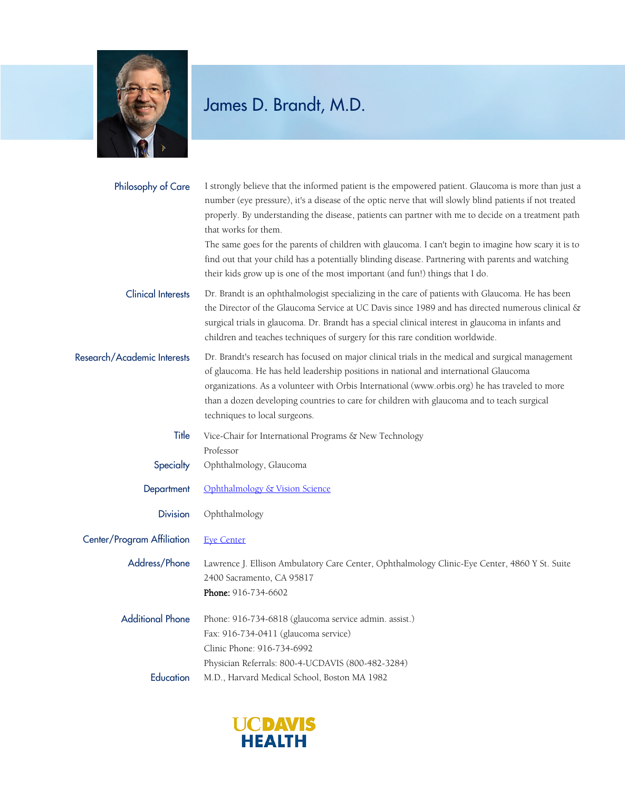

| Philosophy of Care          | I strongly believe that the informed patient is the empowered patient. Glaucoma is more than just a<br>number (eye pressure), it's a disease of the optic nerve that will slowly blind patients if not treated<br>properly. By understanding the disease, patients can partner with me to decide on a treatment path<br>that works for them.<br>The same goes for the parents of children with glaucoma. I can't begin to imagine how scary it is to<br>find out that your child has a potentially blinding disease. Partnering with parents and watching<br>their kids grow up is one of the most important (and fun!) things that I do. |
|-----------------------------|-------------------------------------------------------------------------------------------------------------------------------------------------------------------------------------------------------------------------------------------------------------------------------------------------------------------------------------------------------------------------------------------------------------------------------------------------------------------------------------------------------------------------------------------------------------------------------------------------------------------------------------------|
| <b>Clinical Interests</b>   | Dr. Brandt is an ophthalmologist specializing in the care of patients with Glaucoma. He has been<br>the Director of the Glaucoma Service at UC Davis since 1989 and has directed numerous clinical &<br>surgical trials in glaucoma. Dr. Brandt has a special clinical interest in glaucoma in infants and<br>children and teaches techniques of surgery for this rare condition worldwide.                                                                                                                                                                                                                                               |
| Research/Academic Interests | Dr. Brandt's research has focused on major clinical trials in the medical and surgical management<br>of glaucoma. He has held leadership positions in national and international Glaucoma<br>organizations. As a volunteer with Orbis International (www.orbis.org) he has traveled to more<br>than a dozen developing countries to care for children with glaucoma and to teach surgical<br>techniques to local surgeons.                                                                                                                                                                                                                |
| Title                       | Vice-Chair for International Programs & New Technology<br>Professor<br>Ophthalmology, Glaucoma                                                                                                                                                                                                                                                                                                                                                                                                                                                                                                                                            |
| Specialty                   |                                                                                                                                                                                                                                                                                                                                                                                                                                                                                                                                                                                                                                           |
| Department                  | Ophthalmology & Vision Science                                                                                                                                                                                                                                                                                                                                                                                                                                                                                                                                                                                                            |
| <b>Division</b>             | Ophthalmology                                                                                                                                                                                                                                                                                                                                                                                                                                                                                                                                                                                                                             |
| Center/Program Affiliation  | <b>Eye Center</b>                                                                                                                                                                                                                                                                                                                                                                                                                                                                                                                                                                                                                         |
| Address/Phone               | Lawrence J. Ellison Ambulatory Care Center, Ophthalmology Clinic-Eye Center, 4860 Y St. Suite<br>2400 Sacramento, CA 95817<br>Phone: 916-734-6602                                                                                                                                                                                                                                                                                                                                                                                                                                                                                         |
| <b>Additional Phone</b>     | Phone: 916-734-6818 (glaucoma service admin. assist.)<br>Fax: 916-734-0411 (glaucoma service)<br>Clinic Phone: 916-734-6992<br>Physician Referrals: 800-4-UCDAVIS (800-482-3284)                                                                                                                                                                                                                                                                                                                                                                                                                                                          |
| Education                   | M.D., Harvard Medical School, Boston MA 1982                                                                                                                                                                                                                                                                                                                                                                                                                                                                                                                                                                                              |

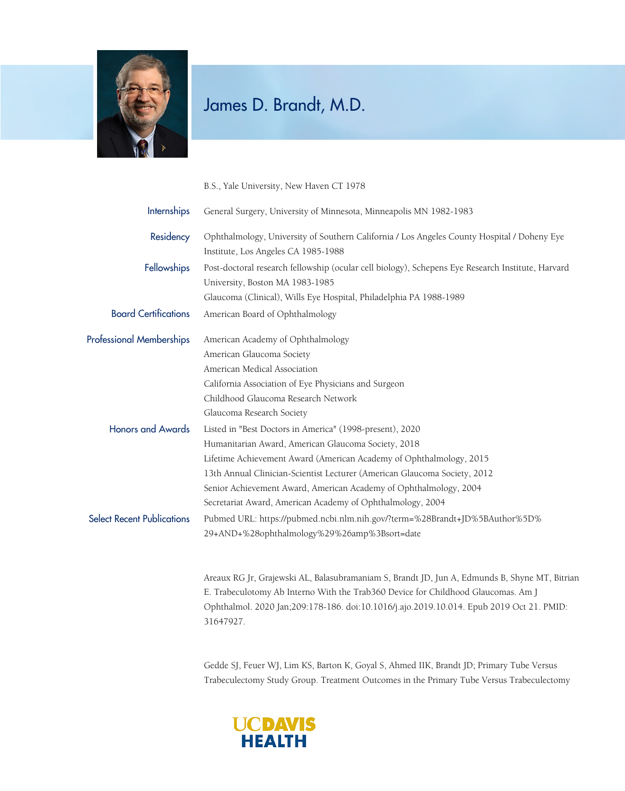

B.S., Yale University, New Haven CT 1978

| Internships                       | General Surgery, University of Minnesota, Minneapolis MN 1982-1983                                                                                                                                                                                                                                                                                                                                     |
|-----------------------------------|--------------------------------------------------------------------------------------------------------------------------------------------------------------------------------------------------------------------------------------------------------------------------------------------------------------------------------------------------------------------------------------------------------|
| Residency                         | Ophthalmology, University of Southern California / Los Angeles County Hospital / Doheny Eye<br>Institute, Los Angeles CA 1985-1988                                                                                                                                                                                                                                                                     |
| Fellowships                       | Post-doctoral research fellowship (ocular cell biology), Schepens Eye Research Institute, Harvard<br>University, Boston MA 1983-1985<br>Glaucoma (Clinical), Wills Eye Hospital, Philadelphia PA 1988-1989                                                                                                                                                                                             |
| <b>Board Certifications</b>       | American Board of Ophthalmology                                                                                                                                                                                                                                                                                                                                                                        |
| <b>Professional Memberships</b>   | American Academy of Ophthalmology<br>American Glaucoma Society<br>American Medical Association<br>California Association of Eye Physicians and Surgeon<br>Childhood Glaucoma Research Network<br>Glaucoma Research Society                                                                                                                                                                             |
| <b>Honors and Awards</b>          | Listed in "Best Doctors in America" (1998-present), 2020<br>Humanitarian Award, American Glaucoma Society, 2018<br>Lifetime Achievement Award (American Academy of Ophthalmology, 2015<br>13th Annual Clinician-Scientist Lecturer (American Glaucoma Society, 2012<br>Senior Achievement Award, American Academy of Ophthalmology, 2004<br>Secretariat Award, American Academy of Ophthalmology, 2004 |
| <b>Select Recent Publications</b> | Pubmed URL: https://pubmed.ncbi.nlm.nih.gov/?term=%28Brandt+JD%5BAuthor%5D%<br>29+AND+%28ophthalmology%29%26amp%3Bsort=date                                                                                                                                                                                                                                                                            |
|                                   | Areaux RG Jr, Grajewski AL, Balasubramaniam S, Brandt JD, Jun A, Edmunds B, Shyne MT, Bitrian<br>E. Trabeculotomy Ab Interno With the Trab360 Device for Childhood Glaucomas. Am J                                                                                                                                                                                                                     |

Ophthalmol. 2020 Jan;209:178-186. doi:10.1016/j.ajo.2019.10.014. Epub 2019 Oct 21. PMID: 31647927.

Gedde SJ, Feuer WJ, Lim KS, Barton K, Goyal S, Ahmed IIK, Brandt JD; Primary Tube Versus Trabeculectomy Study Group. Treatment Outcomes in the Primary Tube Versus Trabeculectomy

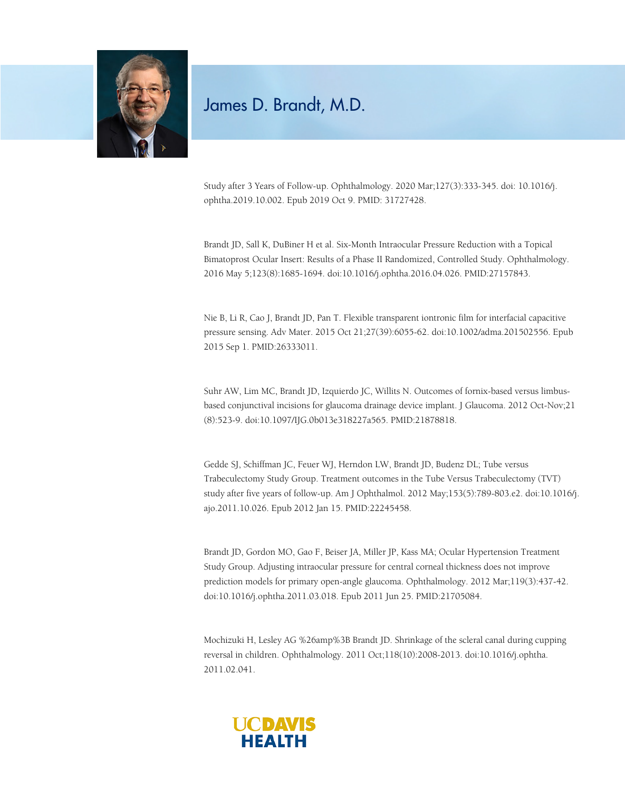

Study after 3 Years of Follow-up. Ophthalmology. 2020 Mar;127(3):333-345. doi: 10.1016/j. ophtha.2019.10.002. Epub 2019 Oct 9. PMID: 31727428.

Brandt JD, Sall K, DuBiner H et al. Six-Month Intraocular Pressure Reduction with a Topical Bimatoprost Ocular Insert: Results of a Phase II Randomized, Controlled Study. Ophthalmology. 2016 May 5;123(8):1685-1694. doi:10.1016/j.ophtha.2016.04.026. PMID:27157843.

Nie B, Li R, Cao J, Brandt JD, Pan T. Flexible transparent iontronic film for interfacial capacitive pressure sensing. Adv Mater. 2015 Oct 21;27(39):6055-62. doi:10.1002/adma.201502556. Epub 2015 Sep 1. PMID:26333011.

Suhr AW, Lim MC, Brandt JD, Izquierdo JC, Willits N. Outcomes of fornix-based versus limbusbased conjunctival incisions for glaucoma drainage device implant. J Glaucoma. 2012 Oct-Nov;21 (8):523-9. doi:10.1097/IJG.0b013e318227a565. PMID:21878818.

Gedde SJ, Schiffman JC, Feuer WJ, Herndon LW, Brandt JD, Budenz DL; Tube versus Trabeculectomy Study Group. Treatment outcomes in the Tube Versus Trabeculectomy (TVT) study after five years of follow-up. Am J Ophthalmol. 2012 May;153(5):789-803.e2. doi:10.1016/j. ajo.2011.10.026. Epub 2012 Jan 15. PMID:22245458.

Brandt JD, Gordon MO, Gao F, Beiser JA, Miller JP, Kass MA; Ocular Hypertension Treatment Study Group. Adjusting intraocular pressure for central corneal thickness does not improve prediction models for primary open-angle glaucoma. Ophthalmology. 2012 Mar;119(3):437-42. doi:10.1016/j.ophtha.2011.03.018. Epub 2011 Jun 25. PMID:21705084.

Mochizuki H, Lesley AG %26amp%3B Brandt JD. Shrinkage of the scleral canal during cupping reversal in children. Ophthalmology. 2011 Oct;118(10):2008-2013. doi:10.1016/j.ophtha. 2011.02.041.